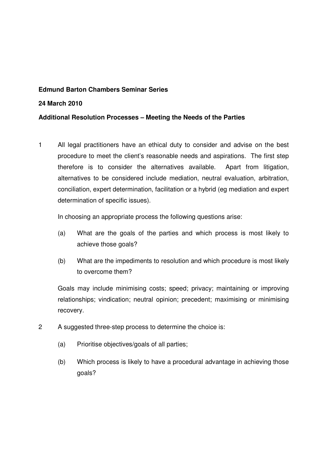# **Edmund Barton Chambers Seminar Series**

### **24 March 2010**

# **Additional Resolution Processes – Meeting the Needs of the Parties**

1 All legal practitioners have an ethical duty to consider and advise on the best procedure to meet the client's reasonable needs and aspirations. The first step therefore is to consider the alternatives available. Apart from litigation, alternatives to be considered include mediation, neutral evaluation, arbitration, conciliation, expert determination, facilitation or a hybrid (eg mediation and expert determination of specific issues).

In choosing an appropriate process the following questions arise:

- (a) What are the goals of the parties and which process is most likely to achieve those goals?
- (b) What are the impediments to resolution and which procedure is most likely to overcome them?

Goals may include minimising costs; speed; privacy; maintaining or improving relationships; vindication; neutral opinion; precedent; maximising or minimising recovery.

- 2 A suggested three-step process to determine the choice is:
	- (a) Prioritise objectives/goals of all parties;
	- (b) Which process is likely to have a procedural advantage in achieving those goals?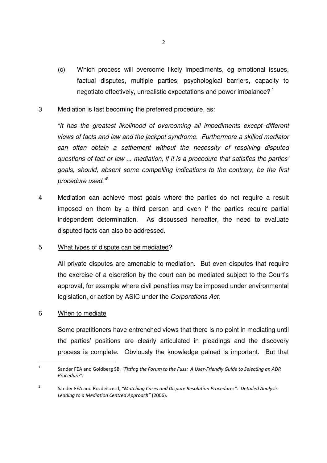- (c) Which process will overcome likely impediments, eg emotional issues, factual disputes, multiple parties, psychological barriers, capacity to negotiate effectively, unrealistic expectations and power imbalance?<sup>1</sup>
- 3 Mediation is fast becoming the preferred procedure, as:

"It has the greatest likelihood of overcoming all impediments except different views of facts and law and the jackpot syndrome. Furthermore a skilled mediator can often obtain a settlement without the necessity of resolving disputed questions of fact or law ... mediation, if it is a procedure that satisfies the parties' goals, should, absent some compelling indications to the contrary, be the first procedure used."<sup>2</sup>

4 Mediation can achieve most goals where the parties do not require a result imposed on them by a third person and even if the parties require partial independent determination. As discussed hereafter, the need to evaluate disputed facts can also be addressed.

### 5 What types of dispute can be mediated?

All private disputes are amenable to mediation. But even disputes that require the exercise of a discretion by the court can be mediated subject to the Court's approval, for example where civil penalties may be imposed under environmental legislation, or action by ASIC under the Corporations Act.

# 6 When to mediate

Some practitioners have entrenched views that there is no point in mediating until the parties' positions are clearly articulated in pleadings and the discovery process is complete. Obviously the knowledge gained is important. But that

 $\frac{1}{1}$ Sander FEA and Goldberg SB, "Fitting the Forum to the Fuss: A User-Friendly Guide to Selecting an ADR Procedure".

 $\overline{2}$ Sander FEA and Rozdeiczerd, "Matching Cases and Dispute Resolution Procedures": Detailed Analysis Leading to a Mediation Centred Approach" (2006).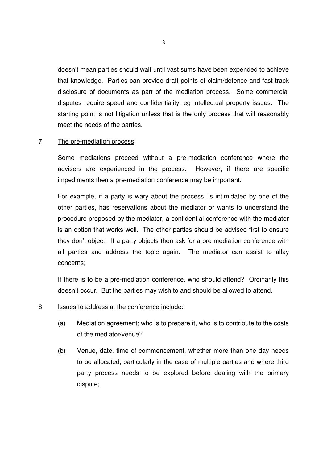doesn't mean parties should wait until vast sums have been expended to achieve that knowledge. Parties can provide draft points of claim/defence and fast track disclosure of documents as part of the mediation process. Some commercial disputes require speed and confidentiality, eg intellectual property issues. The starting point is not litigation unless that is the only process that will reasonably meet the needs of the parties.

### 7 The pre-mediation process

Some mediations proceed without a pre-mediation conference where the advisers are experienced in the process. However, if there are specific impediments then a pre-mediation conference may be important.

For example, if a party is wary about the process, is intimidated by one of the other parties, has reservations about the mediator or wants to understand the procedure proposed by the mediator, a confidential conference with the mediator is an option that works well. The other parties should be advised first to ensure they don't object. If a party objects then ask for a pre-mediation conference with all parties and address the topic again. The mediator can assist to allay concerns;

If there is to be a pre-mediation conference, who should attend? Ordinarily this doesn't occur. But the parties may wish to and should be allowed to attend.

- 8 Issues to address at the conference include:
	- (a) Mediation agreement; who is to prepare it, who is to contribute to the costs of the mediator/venue?
	- (b) Venue, date, time of commencement, whether more than one day needs to be allocated, particularly in the case of multiple parties and where third party process needs to be explored before dealing with the primary dispute;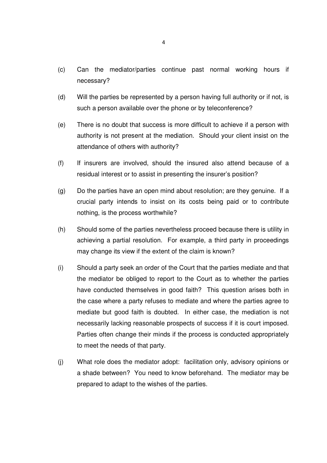- (c) Can the mediator/parties continue past normal working hours if necessary?
- (d) Will the parties be represented by a person having full authority or if not, is such a person available over the phone or by teleconference?
- (e) There is no doubt that success is more difficult to achieve if a person with authority is not present at the mediation. Should your client insist on the attendance of others with authority?
- (f) If insurers are involved, should the insured also attend because of a residual interest or to assist in presenting the insurer's position?
- (g) Do the parties have an open mind about resolution; are they genuine. If a crucial party intends to insist on its costs being paid or to contribute nothing, is the process worthwhile?
- (h) Should some of the parties nevertheless proceed because there is utility in achieving a partial resolution. For example, a third party in proceedings may change its view if the extent of the claim is known?
- (i) Should a party seek an order of the Court that the parties mediate and that the mediator be obliged to report to the Court as to whether the parties have conducted themselves in good faith? This question arises both in the case where a party refuses to mediate and where the parties agree to mediate but good faith is doubted. In either case, the mediation is not necessarily lacking reasonable prospects of success if it is court imposed. Parties often change their minds if the process is conducted appropriately to meet the needs of that party.
- (j) What role does the mediator adopt: facilitation only, advisory opinions or a shade between? You need to know beforehand. The mediator may be prepared to adapt to the wishes of the parties.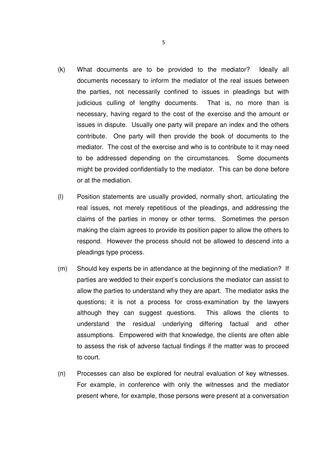- (k) What documents are to be provided to the mediator? Ideally all documents necessary to inform the mediator of the real issues between the parties, not necessarily confined to issues in pleadings but with judicious culling of lengthy documents. That is, no more than is necessary, having regard to the cost of the exercise and the amount or issues in dispute. Usually one party will prepare an index and the others contribute. One party will then provide the book of documents to the mediator. The cost of the exercise and who is to contribute to it may need to be addressed depending on the circumstances. Some documents might be provided confidentially to the mediator. This can be done before or at the mediation.
- (l) Position statements are usually provided, normally short, articulating the real issues, not merely repetitious of the pleadings, and addressing the claims of the parties in money or other terms. Sometimes the person making the claim agrees to provide its position paper to allow the others to respond. However the process should not be allowed to descend into a pleadings type process.
- (m) Should key experts be in attendance at the beginning of the mediation? If parties are wedded to their expert's conclusions the mediator can assist to allow the parties to understand why they are apart. The mediator asks the questions; it is not a process for cross-examination by the lawyers although they can suggest questions. This allows the clients to understand the residual underlying differing factual and other assumptions. Empowered with that knowledge, the clients are often able to assess the risk of adverse factual findings if the matter was to proceed to court.
- (n) Processes can also be explored for neutral evaluation of key witnesses. For example, in conference with only the witnesses and the mediator present where, for example, those persons were present at a conversation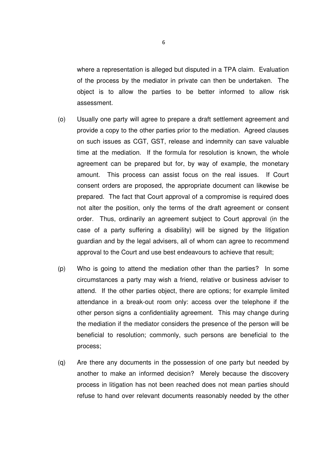where a representation is alleged but disputed in a TPA claim. Evaluation of the process by the mediator in private can then be undertaken. The object is to allow the parties to be better informed to allow risk assessment.

- (o) Usually one party will agree to prepare a draft settlement agreement and provide a copy to the other parties prior to the mediation. Agreed clauses on such issues as CGT, GST, release and indemnity can save valuable time at the mediation. If the formula for resolution is known, the whole agreement can be prepared but for, by way of example, the monetary amount. This process can assist focus on the real issues. If Court consent orders are proposed, the appropriate document can likewise be prepared. The fact that Court approval of a compromise is required does not alter the position, only the terms of the draft agreement or consent order. Thus, ordinarily an agreement subject to Court approval (in the case of a party suffering a disability) will be signed by the litigation guardian and by the legal advisers, all of whom can agree to recommend approval to the Court and use best endeavours to achieve that result;
- (p) Who is going to attend the mediation other than the parties? In some circumstances a party may wish a friend, relative or business adviser to attend. If the other parties object, there are options; for example limited attendance in a break-out room only: access over the telephone if the other person signs a confidentiality agreement. This may change during the mediation if the mediator considers the presence of the person will be beneficial to resolution; commonly, such persons are beneficial to the process;
- (q) Are there any documents in the possession of one party but needed by another to make an informed decision? Merely because the discovery process in litigation has not been reached does not mean parties should refuse to hand over relevant documents reasonably needed by the other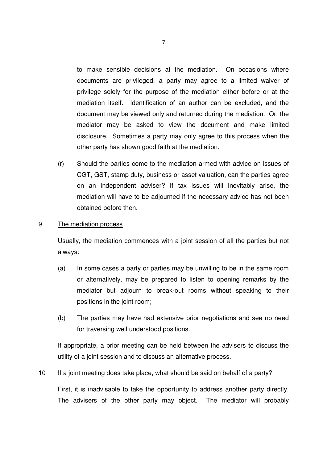to make sensible decisions at the mediation. On occasions where documents are privileged, a party may agree to a limited waiver of privilege solely for the purpose of the mediation either before or at the mediation itself. Identification of an author can be excluded, and the document may be viewed only and returned during the mediation. Or, the mediator may be asked to view the document and make limited disclosure. Sometimes a party may only agree to this process when the other party has shown good faith at the mediation.

(r) Should the parties come to the mediation armed with advice on issues of CGT, GST, stamp duty, business or asset valuation, can the parties agree on an independent adviser? If tax issues will inevitably arise, the mediation will have to be adjourned if the necessary advice has not been obtained before then.

### 9 The mediation process

Usually, the mediation commences with a joint session of all the parties but not always:

- (a) In some cases a party or parties may be unwilling to be in the same room or alternatively, may be prepared to listen to opening remarks by the mediator but adjourn to break-out rooms without speaking to their positions in the joint room;
- (b) The parties may have had extensive prior negotiations and see no need for traversing well understood positions.

If appropriate, a prior meeting can be held between the advisers to discuss the utility of a joint session and to discuss an alternative process.

# 10 If a joint meeting does take place, what should be said on behalf of a party?

First, it is inadvisable to take the opportunity to address another party directly. The advisers of the other party may object. The mediator will probably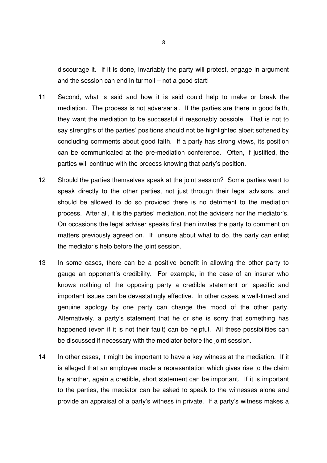discourage it. If it is done, invariably the party will protest, engage in argument and the session can end in turmoil – not a good start!

- 11 Second, what is said and how it is said could help to make or break the mediation. The process is not adversarial. If the parties are there in good faith, they want the mediation to be successful if reasonably possible. That is not to say strengths of the parties' positions should not be highlighted albeit softened by concluding comments about good faith. If a party has strong views, its position can be communicated at the pre-mediation conference. Often, if justified, the parties will continue with the process knowing that party's position.
- 12 Should the parties themselves speak at the joint session? Some parties want to speak directly to the other parties, not just through their legal advisors, and should be allowed to do so provided there is no detriment to the mediation process. After all, it is the parties' mediation, not the advisers nor the mediator's. On occasions the legal adviser speaks first then invites the party to comment on matters previously agreed on. If unsure about what to do, the party can enlist the mediator's help before the joint session.
- 13 In some cases, there can be a positive benefit in allowing the other party to gauge an opponent's credibility. For example, in the case of an insurer who knows nothing of the opposing party a credible statement on specific and important issues can be devastatingly effective. In other cases, a well-timed and genuine apology by one party can change the mood of the other party. Alternatively, a party's statement that he or she is sorry that something has happened (even if it is not their fault) can be helpful. All these possibilities can be discussed if necessary with the mediator before the joint session.
- 14 In other cases, it might be important to have a key witness at the mediation. If it is alleged that an employee made a representation which gives rise to the claim by another, again a credible, short statement can be important. If it is important to the parties, the mediator can be asked to speak to the witnesses alone and provide an appraisal of a party's witness in private. If a party's witness makes a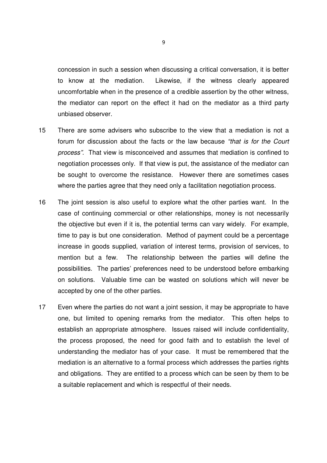concession in such a session when discussing a critical conversation, it is better to know at the mediation. Likewise, if the witness clearly appeared uncomfortable when in the presence of a credible assertion by the other witness, the mediator can report on the effect it had on the mediator as a third party unbiased observer.

- 15 There are some advisers who subscribe to the view that a mediation is not a forum for discussion about the facts or the law because "that is for the Court process". That view is misconceived and assumes that mediation is confined to negotiation processes only. If that view is put, the assistance of the mediator can be sought to overcome the resistance. However there are sometimes cases where the parties agree that they need only a facilitation negotiation process.
- 16 The joint session is also useful to explore what the other parties want. In the case of continuing commercial or other relationships, money is not necessarily the objective but even if it is, the potential terms can vary widely. For example, time to pay is but one consideration. Method of payment could be a percentage increase in goods supplied, variation of interest terms, provision of services, to mention but a few. The relationship between the parties will define the possibilities. The parties' preferences need to be understood before embarking on solutions. Valuable time can be wasted on solutions which will never be accepted by one of the other parties.
- 17 Even where the parties do not want a joint session, it may be appropriate to have one, but limited to opening remarks from the mediator. This often helps to establish an appropriate atmosphere. Issues raised will include confidentiality, the process proposed, the need for good faith and to establish the level of understanding the mediator has of your case. It must be remembered that the mediation is an alternative to a formal process which addresses the parties rights and obligations. They are entitled to a process which can be seen by them to be a suitable replacement and which is respectful of their needs.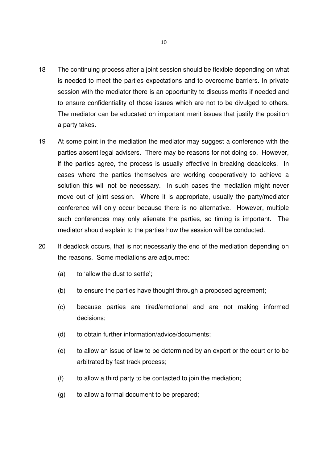- 18 The continuing process after a joint session should be flexible depending on what is needed to meet the parties expectations and to overcome barriers. In private session with the mediator there is an opportunity to discuss merits if needed and to ensure confidentiality of those issues which are not to be divulged to others. The mediator can be educated on important merit issues that justify the position a party takes.
- 19 At some point in the mediation the mediator may suggest a conference with the parties absent legal advisers. There may be reasons for not doing so. However, if the parties agree, the process is usually effective in breaking deadlocks. In cases where the parties themselves are working cooperatively to achieve a solution this will not be necessary. In such cases the mediation might never move out of joint session. Where it is appropriate, usually the party/mediator conference will only occur because there is no alternative. However, multiple such conferences may only alienate the parties, so timing is important. The mediator should explain to the parties how the session will be conducted.
- 20 If deadlock occurs, that is not necessarily the end of the mediation depending on the reasons. Some mediations are adjourned:
	- (a) to 'allow the dust to settle';
	- (b) to ensure the parties have thought through a proposed agreement;
	- (c) because parties are tired/emotional and are not making informed decisions;
	- (d) to obtain further information/advice/documents;
	- (e) to allow an issue of law to be determined by an expert or the court or to be arbitrated by fast track process;
	- (f) to allow a third party to be contacted to join the mediation;
	- (g) to allow a formal document to be prepared;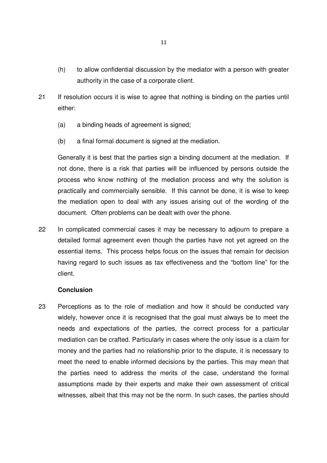- (h) to allow confidential discussion by the mediator with a person with greater authority in the case of a corporate client.
- 21 If resolution occurs it is wise to agree that nothing is binding on the parties until either:
	- (a) a binding heads of agreement is signed;
	- (b) a final formal document is signed at the mediation.

Generally it is best that the parties sign a binding document at the mediation. If not done, there is a risk that parties will be influenced by persons outside the process who know nothing of the mediation process and why the solution is practically and commercially sensible. If this cannot be done, it is wise to keep the mediation open to deal with any issues arising out of the wording of the document. Often problems can be dealt with over the phone.

22 In complicated commercial cases it may be necessary to adjourn to prepare a detailed formal agreement even though the parties have not yet agreed on the essential items. This process helps focus on the issues that remain for decision having regard to such issues as tax effectiveness and the "bottom line" for the client.

### **Conclusion**

23 Perceptions as to the role of mediation and how it should be conducted vary widely, however once it is recognised that the goal must always be to meet the needs and expectations of the parties, the correct process for a particular mediation can be crafted. Particularly in cases where the only issue is a claim for money and the parties had no relationship prior to the dispute, it is necessary to meet the need to enable informed decisions by the parties. This may mean that the parties need to address the merits of the case, understand the formal assumptions made by their experts and make their own assessment of critical witnesses, albeit that this may not be the norm. In such cases, the parties should